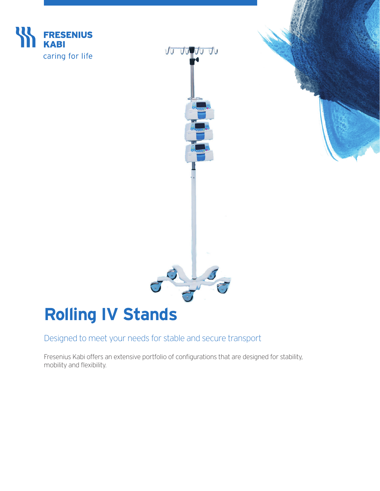



# **Rolling IV Stands**

Designed to meet your needs for stable and secure transport

Fresenius Kabi offers an extensive portfolio of configurations that are designed for stability, mobility and flexibility.